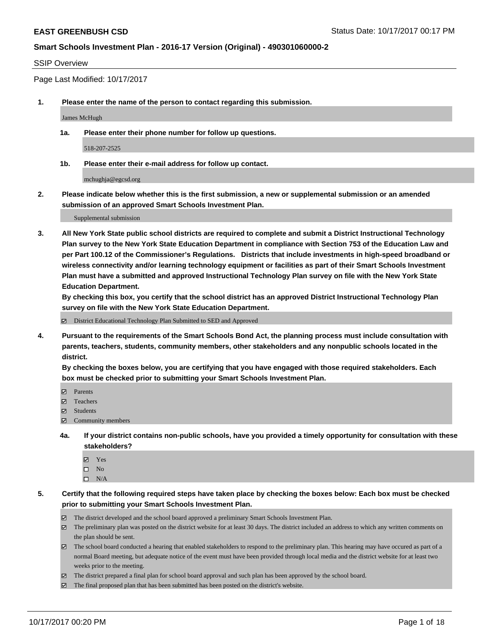#### SSIP Overview

Page Last Modified: 10/17/2017

**1. Please enter the name of the person to contact regarding this submission.**

James McHugh

**1a. Please enter their phone number for follow up questions.**

518-207-2525

**1b. Please enter their e-mail address for follow up contact.**

mchughja@egcsd.org

**2. Please indicate below whether this is the first submission, a new or supplemental submission or an amended submission of an approved Smart Schools Investment Plan.**

Supplemental submission

**3. All New York State public school districts are required to complete and submit a District Instructional Technology Plan survey to the New York State Education Department in compliance with Section 753 of the Education Law and per Part 100.12 of the Commissioner's Regulations. Districts that include investments in high-speed broadband or wireless connectivity and/or learning technology equipment or facilities as part of their Smart Schools Investment Plan must have a submitted and approved Instructional Technology Plan survey on file with the New York State Education Department.** 

**By checking this box, you certify that the school district has an approved District Instructional Technology Plan survey on file with the New York State Education Department.**

District Educational Technology Plan Submitted to SED and Approved

**4. Pursuant to the requirements of the Smart Schools Bond Act, the planning process must include consultation with parents, teachers, students, community members, other stakeholders and any nonpublic schools located in the district.** 

**By checking the boxes below, you are certifying that you have engaged with those required stakeholders. Each box must be checked prior to submitting your Smart Schools Investment Plan.**

- **マ** Parents
- Teachers
- **☑** Students
- Community members
- **4a. If your district contains non-public schools, have you provided a timely opportunity for consultation with these stakeholders?**
	- **Ø** Yes
	- $\square$  No
	- $\square$  N/A
- **5. Certify that the following required steps have taken place by checking the boxes below: Each box must be checked prior to submitting your Smart Schools Investment Plan.**
	- The district developed and the school board approved a preliminary Smart Schools Investment Plan.
	- The preliminary plan was posted on the district website for at least 30 days. The district included an address to which any written comments on the plan should be sent.
	- The school board conducted a hearing that enabled stakeholders to respond to the preliminary plan. This hearing may have occured as part of a normal Board meeting, but adequate notice of the event must have been provided through local media and the district website for at least two weeks prior to the meeting.
	- The district prepared a final plan for school board approval and such plan has been approved by the school board.
	- $\boxtimes$  The final proposed plan that has been submitted has been posted on the district's website.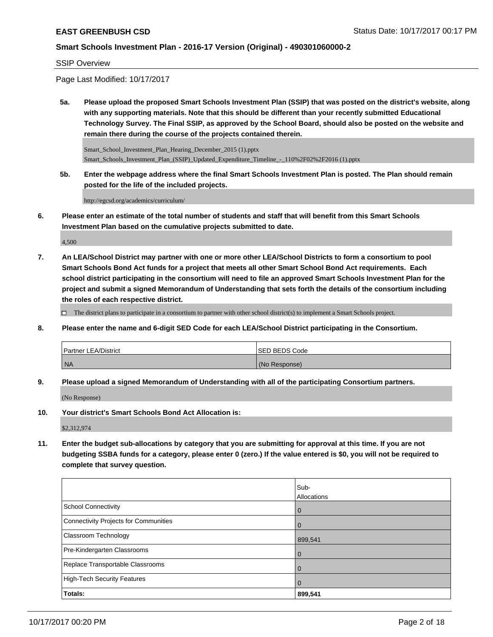#### SSIP Overview

Page Last Modified: 10/17/2017

**5a. Please upload the proposed Smart Schools Investment Plan (SSIP) that was posted on the district's website, along with any supporting materials. Note that this should be different than your recently submitted Educational Technology Survey. The Final SSIP, as approved by the School Board, should also be posted on the website and remain there during the course of the projects contained therein.**

Smart\_School\_Investment\_Plan\_Hearing\_December\_2015 (1).pptx Smart\_Schools\_Investment\_Plan\_(SSIP)\_Updated\_Expenditure\_Timeline\_-\_110%2F02%2F2016 (1).pptx

**5b. Enter the webpage address where the final Smart Schools Investment Plan is posted. The Plan should remain posted for the life of the included projects.**

http://egcsd.org/academics/curriculum/

**6. Please enter an estimate of the total number of students and staff that will benefit from this Smart Schools Investment Plan based on the cumulative projects submitted to date.**

4,500

**7. An LEA/School District may partner with one or more other LEA/School Districts to form a consortium to pool Smart Schools Bond Act funds for a project that meets all other Smart School Bond Act requirements. Each school district participating in the consortium will need to file an approved Smart Schools Investment Plan for the project and submit a signed Memorandum of Understanding that sets forth the details of the consortium including the roles of each respective district.**

 $\Box$  The district plans to participate in a consortium to partner with other school district(s) to implement a Smart Schools project.

**8. Please enter the name and 6-digit SED Code for each LEA/School District participating in the Consortium.**

| <b>Partner LEA/District</b> | <b>SED BEDS Code</b> |
|-----------------------------|----------------------|
| NA                          | (No Response)        |

**9. Please upload a signed Memorandum of Understanding with all of the participating Consortium partners.**

(No Response)

**10. Your district's Smart Schools Bond Act Allocation is:**

\$2,312,974

**11. Enter the budget sub-allocations by category that you are submitting for approval at this time. If you are not budgeting SSBA funds for a category, please enter 0 (zero.) If the value entered is \$0, you will not be required to complete that survey question.**

|                                       | Sub-               |
|---------------------------------------|--------------------|
|                                       | <b>Allocations</b> |
| <b>School Connectivity</b>            | $\overline{0}$     |
| Connectivity Projects for Communities | $\overline{0}$     |
| <b>Classroom Technology</b>           | 899,541            |
| Pre-Kindergarten Classrooms           | $\overline{0}$     |
| Replace Transportable Classrooms      | $\Omega$           |
| High-Tech Security Features           | $\overline{0}$     |
| Totals:                               | 899,541            |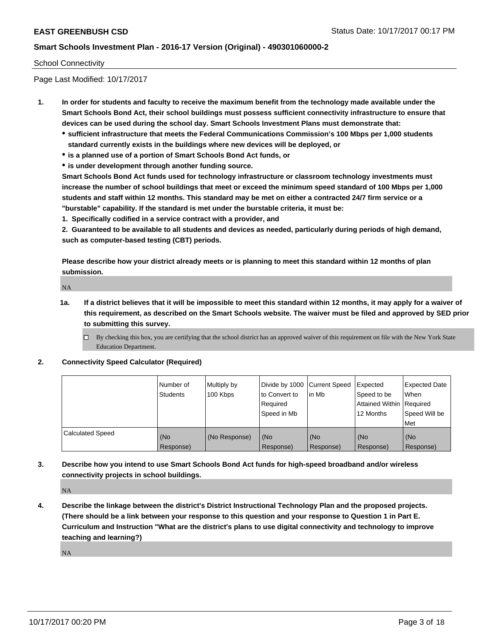#### School Connectivity

Page Last Modified: 10/17/2017

- **1. In order for students and faculty to receive the maximum benefit from the technology made available under the Smart Schools Bond Act, their school buildings must possess sufficient connectivity infrastructure to ensure that devices can be used during the school day. Smart Schools Investment Plans must demonstrate that:**
	- **sufficient infrastructure that meets the Federal Communications Commission's 100 Mbps per 1,000 students standard currently exists in the buildings where new devices will be deployed, or**
	- **is a planned use of a portion of Smart Schools Bond Act funds, or**
	- **is under development through another funding source.**

**Smart Schools Bond Act funds used for technology infrastructure or classroom technology investments must increase the number of school buildings that meet or exceed the minimum speed standard of 100 Mbps per 1,000 students and staff within 12 months. This standard may be met on either a contracted 24/7 firm service or a "burstable" capability. If the standard is met under the burstable criteria, it must be:**

**1. Specifically codified in a service contract with a provider, and**

**2. Guaranteed to be available to all students and devices as needed, particularly during periods of high demand, such as computer-based testing (CBT) periods.**

**Please describe how your district already meets or is planning to meet this standard within 12 months of plan submission.**

NA

**1a. If a district believes that it will be impossible to meet this standard within 12 months, it may apply for a waiver of this requirement, as described on the Smart Schools website. The waiver must be filed and approved by SED prior to submitting this survey.**

 $\Box$  By checking this box, you are certifying that the school district has an approved waiver of this requirement on file with the New York State Education Department.

**2. Connectivity Speed Calculator (Required)**

|                         | l Number of<br><b>Students</b> | Multiply by<br>100 Kbps | Divide by 1000   Current Speed<br>to Convert to<br>Required<br>Speed in Mb | lin Mb           | Expected<br>Speed to be<br>Attained Within Required<br>12 Months | <b>Expected Date</b><br>When<br>Speed Will be<br><b>Met</b> |
|-------------------------|--------------------------------|-------------------------|----------------------------------------------------------------------------|------------------|------------------------------------------------------------------|-------------------------------------------------------------|
| <b>Calculated Speed</b> | (No<br>Response)               | (No Response)           | (No<br>Response)                                                           | (No<br>Response) | (No<br>Response)                                                 | l (No<br>Response)                                          |

**3. Describe how you intend to use Smart Schools Bond Act funds for high-speed broadband and/or wireless connectivity projects in school buildings.**

NA

**4. Describe the linkage between the district's District Instructional Technology Plan and the proposed projects. (There should be a link between your response to this question and your response to Question 1 in Part E. Curriculum and Instruction "What are the district's plans to use digital connectivity and technology to improve teaching and learning?)**

NA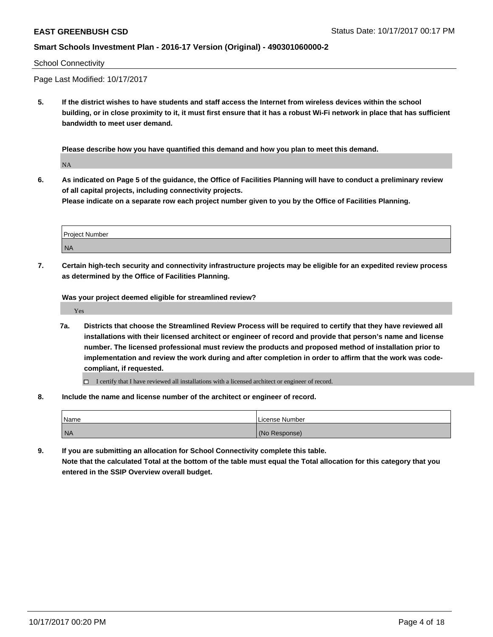#### School Connectivity

Page Last Modified: 10/17/2017

**5. If the district wishes to have students and staff access the Internet from wireless devices within the school building, or in close proximity to it, it must first ensure that it has a robust Wi-Fi network in place that has sufficient bandwidth to meet user demand.**

**Please describe how you have quantified this demand and how you plan to meet this demand.**

NA

**6. As indicated on Page 5 of the guidance, the Office of Facilities Planning will have to conduct a preliminary review of all capital projects, including connectivity projects.**

**Please indicate on a separate row each project number given to you by the Office of Facilities Planning.**

| Project Number |  |
|----------------|--|
| <b>NA</b>      |  |

**7. Certain high-tech security and connectivity infrastructure projects may be eligible for an expedited review process as determined by the Office of Facilities Planning.**

**Was your project deemed eligible for streamlined review?**

Yes

- **7a. Districts that choose the Streamlined Review Process will be required to certify that they have reviewed all installations with their licensed architect or engineer of record and provide that person's name and license number. The licensed professional must review the products and proposed method of installation prior to implementation and review the work during and after completion in order to affirm that the work was codecompliant, if requested.**
	- $\Box$  I certify that I have reviewed all installations with a licensed architect or engineer of record.
- **8. Include the name and license number of the architect or engineer of record.**

| l Name | License Number |
|--------|----------------|
| NA     | (No Response)  |

**9. If you are submitting an allocation for School Connectivity complete this table.**

**Note that the calculated Total at the bottom of the table must equal the Total allocation for this category that you entered in the SSIP Overview overall budget.**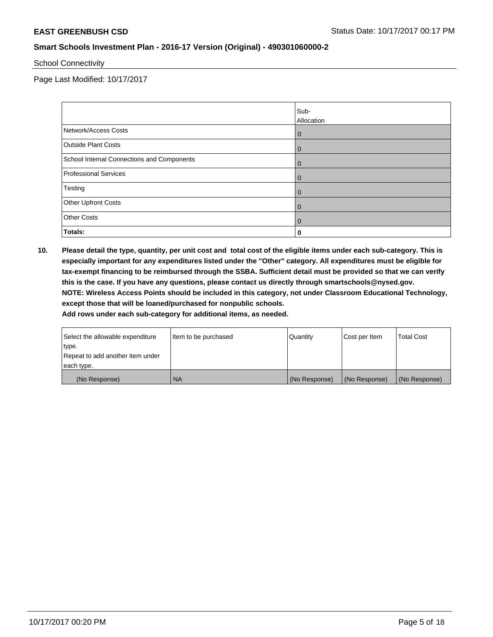School Connectivity

Page Last Modified: 10/17/2017

|                                            | Sub-<br>Allocation |
|--------------------------------------------|--------------------|
| Network/Access Costs                       | $\overline{0}$     |
| <b>Outside Plant Costs</b>                 | $\overline{0}$     |
| School Internal Connections and Components | $\overline{0}$     |
| <b>Professional Services</b>               | $\overline{0}$     |
| Testing                                    | $\Omega$           |
| Other Upfront Costs                        | $\mathbf 0$        |
| <b>Other Costs</b>                         | $\mathbf 0$        |
| <b>Totals:</b>                             | 0                  |

**10. Please detail the type, quantity, per unit cost and total cost of the eligible items under each sub-category. This is especially important for any expenditures listed under the "Other" category. All expenditures must be eligible for tax-exempt financing to be reimbursed through the SSBA. Sufficient detail must be provided so that we can verify this is the case. If you have any questions, please contact us directly through smartschools@nysed.gov. NOTE: Wireless Access Points should be included in this category, not under Classroom Educational Technology, except those that will be loaned/purchased for nonpublic schools.**

| Select the allowable expenditure | Item to be purchased | Quantity      | Cost per Item | <b>Total Cost</b> |
|----------------------------------|----------------------|---------------|---------------|-------------------|
| type.                            |                      |               |               |                   |
| Repeat to add another item under |                      |               |               |                   |
| each type.                       |                      |               |               |                   |
| (No Response)                    | <b>NA</b>            | (No Response) | (No Response) | (No Response)     |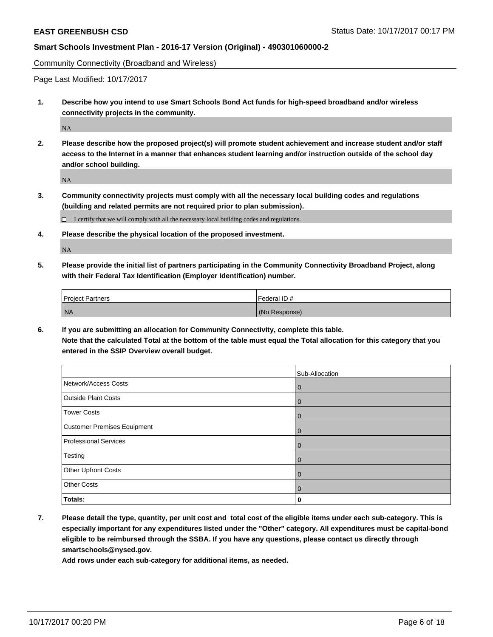Community Connectivity (Broadband and Wireless)

Page Last Modified: 10/17/2017

**1. Describe how you intend to use Smart Schools Bond Act funds for high-speed broadband and/or wireless connectivity projects in the community.**

NA

**2. Please describe how the proposed project(s) will promote student achievement and increase student and/or staff access to the Internet in a manner that enhances student learning and/or instruction outside of the school day and/or school building.**

NA

**3. Community connectivity projects must comply with all the necessary local building codes and regulations (building and related permits are not required prior to plan submission).**

 $\Box$  I certify that we will comply with all the necessary local building codes and regulations.

**4. Please describe the physical location of the proposed investment.**

NA

**5. Please provide the initial list of partners participating in the Community Connectivity Broadband Project, along with their Federal Tax Identification (Employer Identification) number.**

| <b>Project Partners</b> | Federal ID#   |
|-------------------------|---------------|
| NA                      | (No Response) |

**6. If you are submitting an allocation for Community Connectivity, complete this table. Note that the calculated Total at the bottom of the table must equal the Total allocation for this category that you entered in the SSIP Overview overall budget.**

|                                    | Sub-Allocation |
|------------------------------------|----------------|
| Network/Access Costs               | $\mathbf{0}$   |
| <b>Outside Plant Costs</b>         | $\mathbf 0$    |
| <b>Tower Costs</b>                 | $\mathbf{0}$   |
| <b>Customer Premises Equipment</b> | $\mathbf 0$    |
| Professional Services              | $\mathbf 0$    |
| Testing                            | $\mathbf{0}$   |
| <b>Other Upfront Costs</b>         | $\mathbf 0$    |
| <b>Other Costs</b>                 | $\mathbf{0}$   |
| Totals:                            | 0              |

**7. Please detail the type, quantity, per unit cost and total cost of the eligible items under each sub-category. This is especially important for any expenditures listed under the "Other" category. All expenditures must be capital-bond eligible to be reimbursed through the SSBA. If you have any questions, please contact us directly through smartschools@nysed.gov.**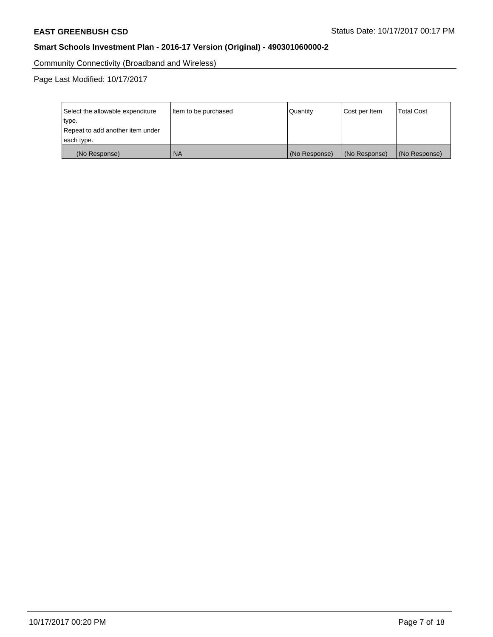Community Connectivity (Broadband and Wireless)

Page Last Modified: 10/17/2017

| Select the allowable expenditure<br>type.<br>Repeat to add another item under | Item to be purchased | Quantity      | Cost per Item | <b>Total Cost</b> |
|-------------------------------------------------------------------------------|----------------------|---------------|---------------|-------------------|
| each type.                                                                    |                      |               |               |                   |
| (No Response)                                                                 | <b>NA</b>            | (No Response) | (No Response) | (No Response)     |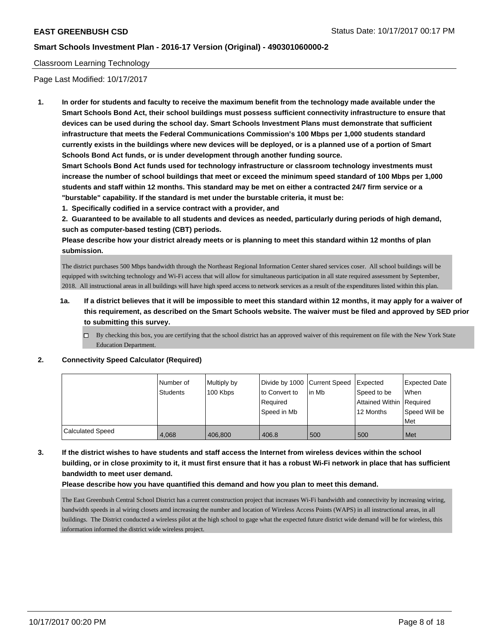#### Classroom Learning Technology

Page Last Modified: 10/17/2017

**1. In order for students and faculty to receive the maximum benefit from the technology made available under the Smart Schools Bond Act, their school buildings must possess sufficient connectivity infrastructure to ensure that devices can be used during the school day. Smart Schools Investment Plans must demonstrate that sufficient infrastructure that meets the Federal Communications Commission's 100 Mbps per 1,000 students standard currently exists in the buildings where new devices will be deployed, or is a planned use of a portion of Smart Schools Bond Act funds, or is under development through another funding source.**

**Smart Schools Bond Act funds used for technology infrastructure or classroom technology investments must increase the number of school buildings that meet or exceed the minimum speed standard of 100 Mbps per 1,000 students and staff within 12 months. This standard may be met on either a contracted 24/7 firm service or a "burstable" capability. If the standard is met under the burstable criteria, it must be:**

**1. Specifically codified in a service contract with a provider, and**

**2. Guaranteed to be available to all students and devices as needed, particularly during periods of high demand, such as computer-based testing (CBT) periods.**

**Please describe how your district already meets or is planning to meet this standard within 12 months of plan submission.**

The district purchases 500 Mbps bandwidth through the Northeast Regional Information Center shared services coser. All school buildings will be equipped with switching technology and Wi-Fi access that will allow for simultaneous participation in all state required assessment by September, 2018. All instructional areas in all buildings will have high speed access to network services as a result of the expenditures listed within this plan.

- **1a. If a district believes that it will be impossible to meet this standard within 12 months, it may apply for a waiver of this requirement, as described on the Smart Schools website. The waiver must be filed and approved by SED prior to submitting this survey.**
	- $\Box$  By checking this box, you are certifying that the school district has an approved waiver of this requirement on file with the New York State Education Department.

#### **2. Connectivity Speed Calculator (Required)**

|                  | l Number of | Multiply by |               | Divide by 1000 Current Speed Expected |                          | Expected Date |
|------------------|-------------|-------------|---------------|---------------------------------------|--------------------------|---------------|
|                  | Students    | 100 Kbps    | to Convert to | l in Mb                               | Speed to be              | When          |
|                  |             |             | Reauired      |                                       | Attained Within Required |               |
|                  |             |             | Speed in Mb   |                                       | 12 Months                | Speed Will be |
|                  |             |             |               |                                       |                          | Met           |
| Calculated Speed | 4.068       | 406,800     | 406.8         | 500                                   | 500                      | Met           |

**3. If the district wishes to have students and staff access the Internet from wireless devices within the school building, or in close proximity to it, it must first ensure that it has a robust Wi-Fi network in place that has sufficient bandwidth to meet user demand.**

#### **Please describe how you have quantified this demand and how you plan to meet this demand.**

The East Greenbush Central School District has a current construction project that increases Wi-Fi bandwidth and connectivity by increasing wiring, bandwidth speeds in al wiring closets amd increasing the number and location of Wireless Access Points (WAPS) in all instructional areas, in all buildings. The District conducted a wireless pilot at the high school to gage what the expected future district wide demand will be for wireless, this information informed the district wide wireless project.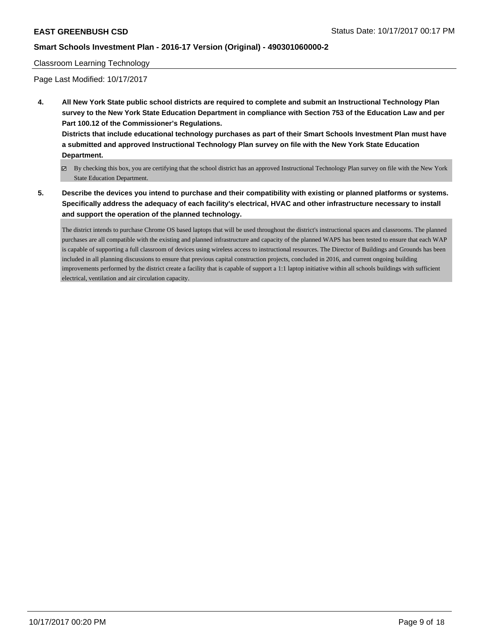#### Classroom Learning Technology

Page Last Modified: 10/17/2017

**4. All New York State public school districts are required to complete and submit an Instructional Technology Plan survey to the New York State Education Department in compliance with Section 753 of the Education Law and per Part 100.12 of the Commissioner's Regulations.**

**Districts that include educational technology purchases as part of their Smart Schools Investment Plan must have a submitted and approved Instructional Technology Plan survey on file with the New York State Education Department.**

- By checking this box, you are certifying that the school district has an approved Instructional Technology Plan survey on file with the New York State Education Department.
- **5. Describe the devices you intend to purchase and their compatibility with existing or planned platforms or systems. Specifically address the adequacy of each facility's electrical, HVAC and other infrastructure necessary to install and support the operation of the planned technology.**

The district intends to purchase Chrome OS based laptops that will be used throughout the district's instructional spaces and classrooms. The planned purchases are all compatible with the existing and planned infrastructure and capacity of the planned WAPS has been tested to ensure that each WAP is capable of supporting a full classroom of devices using wireless access to instructional resources. The Director of Buildings and Grounds has been included in all planning discussions to ensure that previous capital construction projects, concluded in 2016, and current ongoing building improvements performed by the district create a facility that is capable of support a 1:1 laptop initiative within all schools buildings with sufficient electrical, ventilation and air circulation capacity.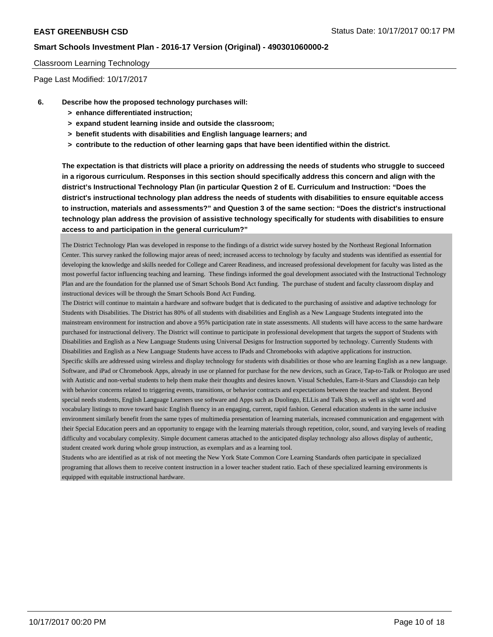#### Classroom Learning Technology

Page Last Modified: 10/17/2017

- **6. Describe how the proposed technology purchases will:**
	- **> enhance differentiated instruction;**
	- **> expand student learning inside and outside the classroom;**
	- **> benefit students with disabilities and English language learners; and**
	- **> contribute to the reduction of other learning gaps that have been identified within the district.**

**The expectation is that districts will place a priority on addressing the needs of students who struggle to succeed in a rigorous curriculum. Responses in this section should specifically address this concern and align with the district's Instructional Technology Plan (in particular Question 2 of E. Curriculum and Instruction: "Does the district's instructional technology plan address the needs of students with disabilities to ensure equitable access to instruction, materials and assessments?" and Question 3 of the same section: "Does the district's instructional technology plan address the provision of assistive technology specifically for students with disabilities to ensure access to and participation in the general curriculum?"**

The District Technology Plan was developed in response to the findings of a district wide survey hosted by the Northeast Regional Information Center. This survey ranked the following major areas of need; increased access to technology by faculty and students was identified as essential for developing the knowledge and skills needed for College and Career Readiness, and increased professional development for faculty was listed as the most powerful factor influencing teaching and learning. These findings informed the goal development associated with the Instructional Technology Plan and are the foundation for the planned use of Smart Schools Bond Act funding. The purchase of student and faculty classroom display and instructional devices will be through the Smart Schools Bond Act Funding.

The District will continue to maintain a hardware and software budget that is dedicated to the purchasing of assistive and adaptive technology for Students with Disabilities. The District has 80% of all students with disabilities and English as a New Language Students integrated into the mainstream environment for instruction and above a 95% participation rate in state assessments. All students will have access to the same hardware purchased for instructional delivery. The District will continue to participate in professional development that targets the support of Students with Disabilities and English as a New Language Students using Universal Designs for Instruction supported by technology. Currently Students with Disabilities and English as a New Language Students have access to IPads and Chromebooks with adaptive applications for instruction. Specific skills are addressed using wireless and display technology for students with disabilities or those who are learning English as a new language. Software, and iPad or Chromebook Apps, already in use or planned for purchase for the new devices, such as Grace, Tap-to-Talk or Proloquo are used with Autistic and non-verbal students to help them make their thoughts and desires known. Visual Schedules, Earn-it-Stars and Classdojo can help with behavior concerns related to triggering events, transitions, or behavior contracts and expectations between the teacher and student. Beyond special needs students, English Language Learners use software and Apps such as Duolingo, ELLis and Talk Shop, as well as sight word and vocabulary listings to move toward basic English fluency in an engaging, current, rapid fashion. General education students in the same inclusive environment similarly benefit from the same types of multimedia presentation of learning materials, increased communication and engagement with their Special Education peers and an opportunity to engage with the learning materials through repetition, color, sound, and varying levels of reading difficulty and vocabulary complexity. Simple document cameras attached to the anticipated display technology also allows display of authentic, student created work during whole group instruction, as exemplars and as a learning tool.

Students who are identified as at risk of not meeting the New York State Common Core Learning Standards often participate in specialized programing that allows them to receive content instruction in a lower teacher student ratio. Each of these specialized learning environments is equipped with equitable instructional hardware.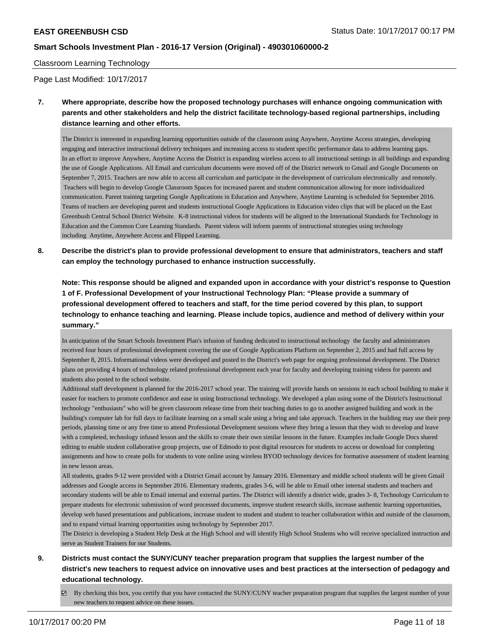#### Classroom Learning Technology

Page Last Modified: 10/17/2017

**7. Where appropriate, describe how the proposed technology purchases will enhance ongoing communication with parents and other stakeholders and help the district facilitate technology-based regional partnerships, including distance learning and other efforts.**

The District is interested in expanding learning opportunities outside of the classroom using Anywhere, Anytime Access strategies, developing engaging and interactive instructional delivery techniques and increasing access to student specific performance data to address learning gaps. In an effort to improve Anywhere, Anytime Access the District is expanding wireless access to all instructional settings in all buildings and expanding the use of Google Applications. All Email and curriculum documents were moved off of the District network to Gmail and Google Documents on September 7, 2015. Teachers are now able to access all curriculum and participate in the development of curriculum electronically and remotely. Teachers will begin to develop Google Classroom Spaces for increased parent and student communication allowing for more individualized communication. Parent training targeting Google Applications in Education and Anywhere, Anytime Learning is scheduled for September 2016. Teams of teachers are developing parent and students instructional Google Applications in Education video clips that will be placed on the East Greenbush Central School District Website. K-8 instructional videos for students will be aligned to the International Standards for Technology in Education and the Common Core Learning Standards. Parent videos will inform parents of instructional strategies using technology including Anytime, Anywhere Access and Flipped Learning.

**8. Describe the district's plan to provide professional development to ensure that administrators, teachers and staff can employ the technology purchased to enhance instruction successfully.**

**Note: This response should be aligned and expanded upon in accordance with your district's response to Question 1 of F. Professional Development of your Instructional Technology Plan: "Please provide a summary of professional development offered to teachers and staff, for the time period covered by this plan, to support technology to enhance teaching and learning. Please include topics, audience and method of delivery within your summary."**

In anticipation of the Smart Schools Investment Plan's infusion of funding dedicated to instructional technology the faculty and administrators received four hours of professional development covering the use of Google Applications Platform on September 2, 2015 and had full access by September 8, 2015. Informational videos were developed and posted to the District's web page for ongoing professional development. The District plans on providing 4 hours of technology related professional development each year for faculty and developing training videos for parents and students also posted to the school website.

Additional staff development is planned for the 2016-2017 school year. The training will provide hands on sessions in each school building to make it easier for teachers to promote confidence and ease in using Instructional technology. We developed a plan using some of the District's Instructional technology "enthusiasts" who will be given classroom release time from their teaching duties to go to another assigned building and work in the building's computer lab for full days to facilitate learning on a small scale using a bring and take approach. Teachers in the building may use their prep periods, planning time or any free time to attend Professional Development sessions where they bring a lesson that they wish to develop and leave with a completed, technology infused lesson and the skills to create their own similar lessons in the future. Examples include Google Docs shared editing to enable student collaborative group projects, use of Edmodo to post digital resources for students to access or download for completing assignments and how to create polls for students to vote online using wireless BYOD technology devices for formative assessment of student learning in new lesson areas.

All students, grades 9-12 were provided with a District Gmail account by January 2016. Elementary and middle school students will be given Gmail addresses and Google access in September 2016. Elementary students, grades 3-6, will be able to Email other internal students and teachers and secondary students will be able to Email internal and external parties. The District will identify a district wide, grades 3- 8, Technology Curriculum to prepare students for electronic submission of word processed documents, improve student research skills, increase authentic learning opportunities, develop web based presentations and publications, increase student to student and student to teacher collaboration within and outside of the classroom, and to expand virtual learning opportunities using technology by September 2017.

The District is developing a Student Help Desk at the High School and will identify High School Students who will receive specialized instruction and serve as Student Trainers for our Students.

- **9. Districts must contact the SUNY/CUNY teacher preparation program that supplies the largest number of the district's new teachers to request advice on innovative uses and best practices at the intersection of pedagogy and educational technology.**
	- $\boxtimes$  By checking this box, you certify that you have contacted the SUNY/CUNY teacher preparation program that supplies the largest number of your new teachers to request advice on these issues.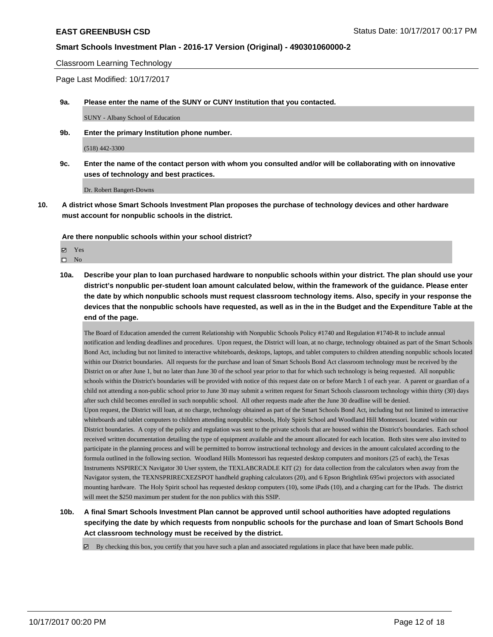Classroom Learning Technology

Page Last Modified: 10/17/2017

**9a. Please enter the name of the SUNY or CUNY Institution that you contacted.**

SUNY - Albany School of Education

**9b. Enter the primary Institution phone number.**

(518) 442-3300

**9c. Enter the name of the contact person with whom you consulted and/or will be collaborating with on innovative uses of technology and best practices.**

Dr. Robert Bangert-Downs

**10. A district whose Smart Schools Investment Plan proposes the purchase of technology devices and other hardware must account for nonpublic schools in the district.**

**Are there nonpublic schools within your school district?**

**Ø** Yes  $\square$  No

**10a. Describe your plan to loan purchased hardware to nonpublic schools within your district. The plan should use your district's nonpublic per-student loan amount calculated below, within the framework of the guidance. Please enter the date by which nonpublic schools must request classroom technology items. Also, specify in your response the devices that the nonpublic schools have requested, as well as in the in the Budget and the Expenditure Table at the end of the page.**

The Board of Education amended the current Relationship with Nonpublic Schools Policy #1740 and Regulation #1740-R to include annual notification and lending deadlines and procedures. Upon request, the District will loan, at no charge, technology obtained as part of the Smart Schools Bond Act, including but not limited to interactive whiteboards, desktops, laptops, and tablet computers to children attending nonpublic schools located within our District boundaries. All requests for the purchase and loan of Smart Schools Bond Act classroom technology must be received by the District on or after June 1, but no later than June 30 of the school year prior to that for which such technology is being requested. All nonpublic schools within the District's boundaries will be provided with notice of this request date on or before March 1 of each year. A parent or guardian of a child not attending a non-public school prior to June 30 may submit a written request for Smart Schools classroom technology within thirty (30) days after such child becomes enrolled in such nonpublic school. All other requests made after the June 30 deadline will be denied. Upon request, the District will loan, at no charge, technology obtained as part of the Smart Schools Bond Act, including but not limited to interactive whiteboards and tablet computers to children attending nonpublic schools, Holy Spirit School and Woodland Hill Montessori. located within our District boundaries. A copy of the policy and regulation was sent to the private schools that are housed within the District's boundaries. Each school received written documentation detailing the type of equipment available and the amount allocated for each location. Both sites were also invited to participate in the planning process and will be permitted to borrow instructional technology and devices in the amount calculated according to the formula outlined in the following section. Woodland Hills Montessori has requested desktop computers and monitors (25 of each), the Texas Instruments NSPIRECX Navigator 30 User system, the TEXLABCRADLE KIT (2) for data collection from the calculators when away from the Navigator system, the TEXNSPRIRECXEZSPOT handheld graphing calculators (20), and 6 Epson Brightlink 695wi projectors with associated mounting hardware. The Holy Spirit school has requested desktop computers (10), some iPads (10), and a charging cart for the IPads. The district will meet the \$250 maximum per student for the non publics with this SSIP.

- **10b. A final Smart Schools Investment Plan cannot be approved until school authorities have adopted regulations specifying the date by which requests from nonpublic schools for the purchase and loan of Smart Schools Bond Act classroom technology must be received by the district.**
	- $\boxtimes$  By checking this box, you certify that you have such a plan and associated regulations in place that have been made public.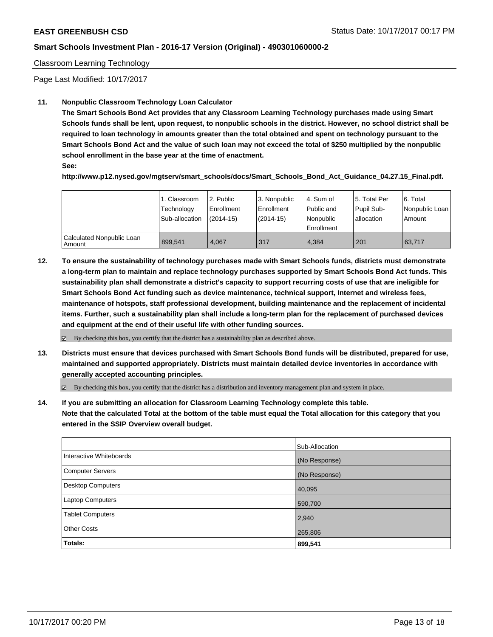#### Classroom Learning Technology

Page Last Modified: 10/17/2017

### **11. Nonpublic Classroom Technology Loan Calculator**

**The Smart Schools Bond Act provides that any Classroom Learning Technology purchases made using Smart Schools funds shall be lent, upon request, to nonpublic schools in the district. However, no school district shall be required to loan technology in amounts greater than the total obtained and spent on technology pursuant to the Smart Schools Bond Act and the value of such loan may not exceed the total of \$250 multiplied by the nonpublic school enrollment in the base year at the time of enactment.**

**See:**

**http://www.p12.nysed.gov/mgtserv/smart\_schools/docs/Smart\_Schools\_Bond\_Act\_Guidance\_04.27.15\_Final.pdf.**

|                                       | 1. Classroom<br>Technology<br>Sub-allocation | 12. Public<br>l Enrollment<br>$(2014-15)$ | l 3. Nonpublic<br>Enrollment<br>(2014-15) | l 4. Sum of<br>Public and<br>Nonpublic<br>Enrollment | 15. Total Per<br>Pupil Sub-<br>I allocation | 6. Total<br>Nonpublic Loan  <br>Amount |
|---------------------------------------|----------------------------------------------|-------------------------------------------|-------------------------------------------|------------------------------------------------------|---------------------------------------------|----------------------------------------|
| Calculated Nonpublic Loan<br>l Amount | 899.541                                      | 4.067                                     | 317                                       | 4.384                                                | 201                                         | 63.717                                 |

**12. To ensure the sustainability of technology purchases made with Smart Schools funds, districts must demonstrate a long-term plan to maintain and replace technology purchases supported by Smart Schools Bond Act funds. This sustainability plan shall demonstrate a district's capacity to support recurring costs of use that are ineligible for Smart Schools Bond Act funding such as device maintenance, technical support, Internet and wireless fees, maintenance of hotspots, staff professional development, building maintenance and the replacement of incidental items. Further, such a sustainability plan shall include a long-term plan for the replacement of purchased devices and equipment at the end of their useful life with other funding sources.**

 $\boxtimes$  By checking this box, you certify that the district has a sustainability plan as described above.

**13. Districts must ensure that devices purchased with Smart Schools Bond funds will be distributed, prepared for use, maintained and supported appropriately. Districts must maintain detailed device inventories in accordance with generally accepted accounting principles.**

By checking this box, you certify that the district has a distribution and inventory management plan and system in place.

**14. If you are submitting an allocation for Classroom Learning Technology complete this table. Note that the calculated Total at the bottom of the table must equal the Total allocation for this category that you entered in the SSIP Overview overall budget.**

|                         | Sub-Allocation |
|-------------------------|----------------|
| Interactive Whiteboards | (No Response)  |
| Computer Servers        | (No Response)  |
| Desktop Computers       | 40,095         |
| Laptop Computers        | 590,700        |
| <b>Tablet Computers</b> | 2,940          |
| <b>Other Costs</b>      | 265,806        |
| Totals:                 | 899,541        |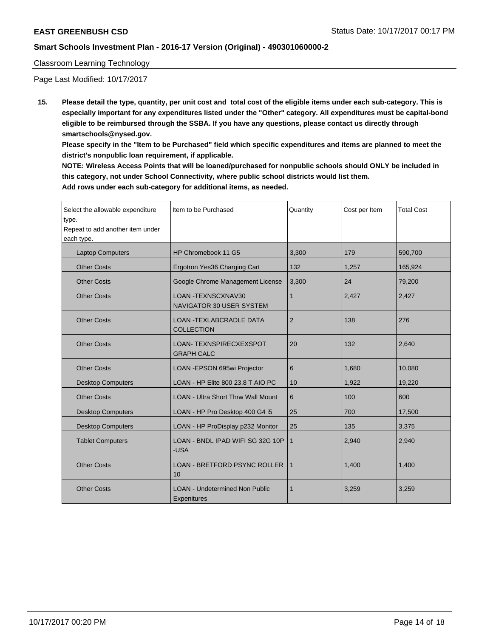### Classroom Learning Technology

Page Last Modified: 10/17/2017

**15. Please detail the type, quantity, per unit cost and total cost of the eligible items under each sub-category. This is especially important for any expenditures listed under the "Other" category. All expenditures must be capital-bond eligible to be reimbursed through the SSBA. If you have any questions, please contact us directly through smartschools@nysed.gov.**

**Please specify in the "Item to be Purchased" field which specific expenditures and items are planned to meet the district's nonpublic loan requirement, if applicable.**

**NOTE: Wireless Access Points that will be loaned/purchased for nonpublic schools should ONLY be included in this category, not under School Connectivity, where public school districts would list them. Add rows under each sub-category for additional items, as needed.**

| Select the allowable expenditure<br>type.<br>Repeat to add another item under<br>each type. | Item to be Purchased                                 | Quantity       | Cost per Item | <b>Total Cost</b> |
|---------------------------------------------------------------------------------------------|------------------------------------------------------|----------------|---------------|-------------------|
| <b>Laptop Computers</b>                                                                     | HP Chromebook 11 G5                                  | 3.300          | 179           | 590.700           |
| <b>Other Costs</b>                                                                          | Ergotron Yes36 Charging Cart                         | 132            | 1,257         | 165,924           |
| <b>Other Costs</b>                                                                          | Google Chrome Management License                     | 3,300          | 24            | 79,200            |
| <b>Other Costs</b>                                                                          | LOAN - TEXNSCXNAV30<br>NAVIGATOR 30 USER SYSTEM      | $\mathbf 1$    | 2,427         | 2,427             |
| <b>Other Costs</b>                                                                          | <b>LOAN - TEXLABCRADLE DATA</b><br><b>COLLECTION</b> | $\overline{2}$ | 138           | 276               |
| <b>Other Costs</b>                                                                          | <b>LOAN-TEXNSPIRECXEXSPOT</b><br><b>GRAPH CALC</b>   | 20             | 132           | 2,640             |
| <b>Other Costs</b>                                                                          | LOAN - EPSON 695wi Projector                         | 6              | 1,680         | 10,080            |
| <b>Desktop Computers</b>                                                                    | LOAN - HP Elite 800 23.8 T AIO PC                    | 10             | 1,922         | 19,220            |
| <b>Other Costs</b>                                                                          | <b>LOAN - Ultra Short Thrw Wall Mount</b>            | 6              | 100           | 600               |
| <b>Desktop Computers</b>                                                                    | LOAN - HP Pro Desktop 400 G4 i5                      | 25             | 700           | 17,500            |
| <b>Desktop Computers</b>                                                                    | LOAN - HP ProDisplay p232 Monitor                    | 25             | 135           | 3,375             |
| <b>Tablet Computers</b>                                                                     | LOAN - BNDL IPAD WIFI SG 32G 10P<br>-USA             | $\mathbf{1}$   | 2,940         | 2,940             |
| <b>Other Costs</b>                                                                          | LOAN - BRETFORD PSYNC ROLLER<br>10                   | 1              | 1,400         | 1,400             |
| <b>Other Costs</b>                                                                          | <b>LOAN - Undetermined Non Public</b><br>Expenitures | 1              | 3,259         | 3,259             |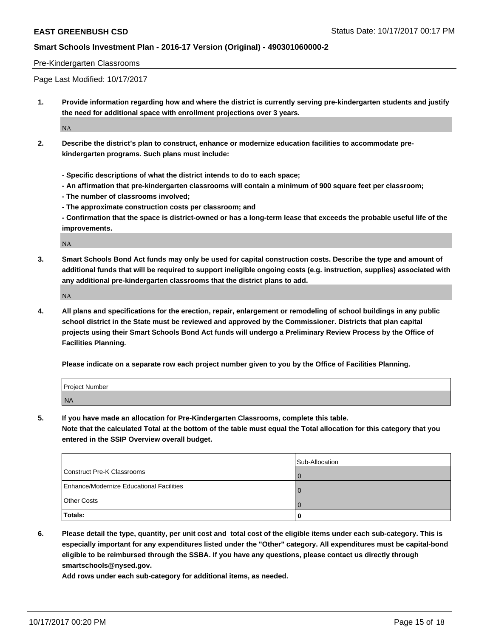#### Pre-Kindergarten Classrooms

Page Last Modified: 10/17/2017

**1. Provide information regarding how and where the district is currently serving pre-kindergarten students and justify the need for additional space with enrollment projections over 3 years.**

NA

- **2. Describe the district's plan to construct, enhance or modernize education facilities to accommodate prekindergarten programs. Such plans must include:**
	- **Specific descriptions of what the district intends to do to each space;**
	- **An affirmation that pre-kindergarten classrooms will contain a minimum of 900 square feet per classroom;**
	- **The number of classrooms involved;**
	- **The approximate construction costs per classroom; and**

**- Confirmation that the space is district-owned or has a long-term lease that exceeds the probable useful life of the improvements.**

NA

**3. Smart Schools Bond Act funds may only be used for capital construction costs. Describe the type and amount of additional funds that will be required to support ineligible ongoing costs (e.g. instruction, supplies) associated with any additional pre-kindergarten classrooms that the district plans to add.**

NA

**4. All plans and specifications for the erection, repair, enlargement or remodeling of school buildings in any public school district in the State must be reviewed and approved by the Commissioner. Districts that plan capital projects using their Smart Schools Bond Act funds will undergo a Preliminary Review Process by the Office of Facilities Planning.**

**Please indicate on a separate row each project number given to you by the Office of Facilities Planning.**

| <b>Project Number</b> |  |
|-----------------------|--|
| <b>NA</b>             |  |

**5. If you have made an allocation for Pre-Kindergarten Classrooms, complete this table.**

**Note that the calculated Total at the bottom of the table must equal the Total allocation for this category that you entered in the SSIP Overview overall budget.**

|                                          | Sub-Allocation |
|------------------------------------------|----------------|
| Construct Pre-K Classrooms               |                |
| Enhance/Modernize Educational Facilities |                |
| <b>Other Costs</b>                       |                |
| Totals:                                  |                |

**6. Please detail the type, quantity, per unit cost and total cost of the eligible items under each sub-category. This is especially important for any expenditures listed under the "Other" category. All expenditures must be capital-bond eligible to be reimbursed through the SSBA. If you have any questions, please contact us directly through smartschools@nysed.gov.**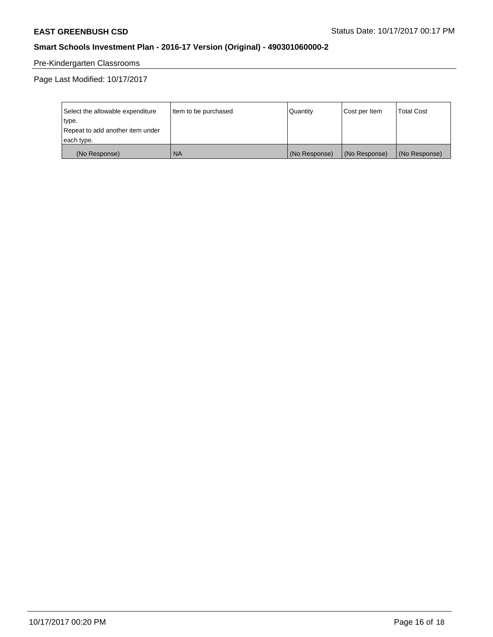# Pre-Kindergarten Classrooms

Page Last Modified: 10/17/2017

| Select the allowable expenditure | Item to be purchased | <b>Quantity</b> | Cost per Item | <b>Total Cost</b> |
|----------------------------------|----------------------|-----------------|---------------|-------------------|
| type.                            |                      |                 |               |                   |
| Repeat to add another item under |                      |                 |               |                   |
| each type.                       |                      |                 |               |                   |
| (No Response)                    | <b>NA</b>            | (No Response)   | (No Response) | (No Response)     |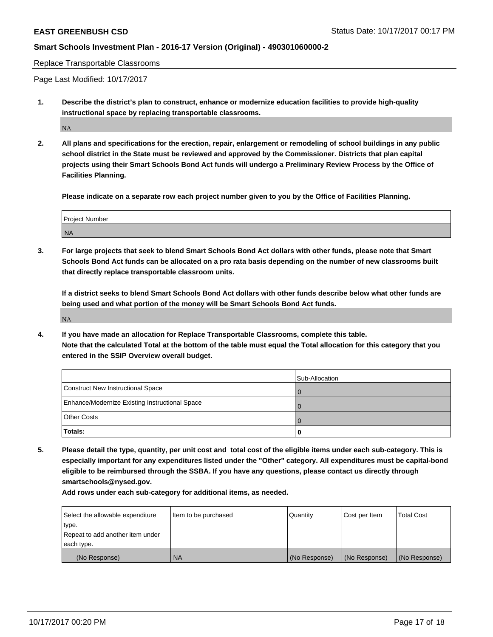Replace Transportable Classrooms

Page Last Modified: 10/17/2017

**1. Describe the district's plan to construct, enhance or modernize education facilities to provide high-quality instructional space by replacing transportable classrooms.**

NA

**2. All plans and specifications for the erection, repair, enlargement or remodeling of school buildings in any public school district in the State must be reviewed and approved by the Commissioner. Districts that plan capital projects using their Smart Schools Bond Act funds will undergo a Preliminary Review Process by the Office of Facilities Planning.**

**Please indicate on a separate row each project number given to you by the Office of Facilities Planning.**

| Prright<br>' Number |  |
|---------------------|--|
| <b>NA</b>           |  |

**3. For large projects that seek to blend Smart Schools Bond Act dollars with other funds, please note that Smart Schools Bond Act funds can be allocated on a pro rata basis depending on the number of new classrooms built that directly replace transportable classroom units.**

**If a district seeks to blend Smart Schools Bond Act dollars with other funds describe below what other funds are being used and what portion of the money will be Smart Schools Bond Act funds.**

NA

**4. If you have made an allocation for Replace Transportable Classrooms, complete this table. Note that the calculated Total at the bottom of the table must equal the Total allocation for this category that you entered in the SSIP Overview overall budget.**

|                                                | Sub-Allocation |
|------------------------------------------------|----------------|
| Construct New Instructional Space              |                |
| Enhance/Modernize Existing Instructional Space |                |
| <b>Other Costs</b>                             |                |
| Totals:                                        |                |

**5. Please detail the type, quantity, per unit cost and total cost of the eligible items under each sub-category. This is especially important for any expenditures listed under the "Other" category. All expenditures must be capital-bond eligible to be reimbursed through the SSBA. If you have any questions, please contact us directly through smartschools@nysed.gov.**

| Select the allowable expenditure | Item to be purchased | Quantity      | Cost per Item | <b>Total Cost</b> |
|----------------------------------|----------------------|---------------|---------------|-------------------|
| type.                            |                      |               |               |                   |
| Repeat to add another item under |                      |               |               |                   |
| each type.                       |                      |               |               |                   |
| (No Response)                    | <b>NA</b>            | (No Response) | (No Response) | (No Response)     |